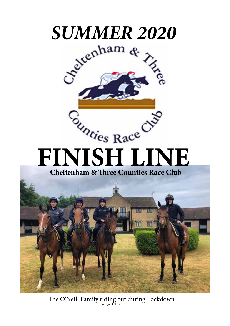

The O'Neill Family riding out during Lockdown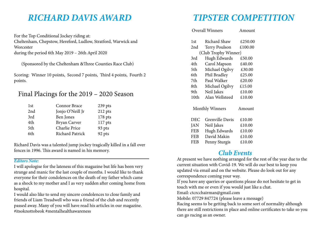# *RICHARD DAVIS AWARD*

For the Top Conditional Jockey riding at: Cheltenham, Chepstow, Hereford, Ludlow, Stratford, Warwick and **Worcester** during the period 6th May 2019 – 26th April 2020

(Sponsored by the Cheltenham &Three Counties Race Club)

Scoring: Winner 10 points, Second 7 points, Third 4 points, Fourth 2 points.

## Final Placings for the 2019 – 2020 Season

| 1st | Connor Brace     | 239 pts   |
|-----|------------------|-----------|
| 2nd | Jonjo O'Neill Jr | 212 pts   |
| 3rd | Ben Jones        | 178 pts   |
| 4th | Bryan Carver     | $117$ pts |
| 5th | Charlie Price    | 93 pts    |
| 6th | Richard Patrick  | 92 pts    |

Richard Davis was a talented jump jockey tragically killed in a fall over fences in 1996. This award is named in his memory.

#### *Editors Note:*

I will apologise for the lateness of this magazine but life has been very strange and manic for the last couple of months. I would like to thank everyone for their condolences on the death of my father which came as a shock to my mother and I as very sudden after coming home from hospital.

I would also like to send my sincere condolences to close family and friends of Liam Treadwell who was a friend of the club and recently passed away. Many of you will have read his articles in our magazine. #itsoknottobeok #mentalhealthawareness

# *TIPSTER COMPETITION*

| <b>Overall Winners</b>           |                        | Amount  |  |
|----------------------------------|------------------------|---------|--|
| 1st                              | Richard Shaw           | £250.00 |  |
| 2nd                              | <b>Terry Poulson</b>   | £100.00 |  |
| (Club Trophy Winner)             |                        |         |  |
| 3rd                              | Hugh Edwards           | £50.00  |  |
| 4th                              | Carol Mapson           | £40.00  |  |
| 5th                              | Michael Ogilvy         | £30.00  |  |
| 6th                              | Phil Bradley           | £25.00  |  |
| 7th                              | Paul Walker            | £20.00  |  |
| 8th                              | Michael Ogilvy         | £15.00  |  |
| 9th                              | Neil Jakes             | £10.00  |  |
| 10th                             | Alan Wellsteed         | £10.00  |  |
| <b>Monthly Winners</b><br>Amount |                        |         |  |
| DEC                              | <b>Grenville Davis</b> | £10.00  |  |
| JAN                              | Neil Jakes             | £10.00  |  |
| <b>FEB</b>                       | Hugh Edwards           | £10.00  |  |
| FEB                              | David Makin            | £10.00  |  |
| FEB                              | Penny Sturgis          | £10.00  |  |

## *Club Events*

At present we have nothing arranged for the rest of the year due to the current situation with Covid-19. We will do our best to keep you updated via email and on the website. Please do look out for any correspondence coming your way.

If you have any queries or questions please do not hesitate to get in touch with me or even if you would just like a chat.

Email: ctcrcchairman@gmail.com

Mobile: 07729 847724 (please leave a message)

Racing seems to be getting back to some sort of normality although there are still restrictions in place and online certificates to take so you can go racing as an owner.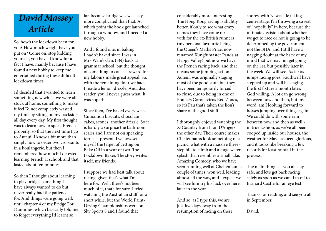# *David Massey Article*

So, how's the lockdown been for you? How much weight have you put on? Come on, stop kidding yourself, you have. I know for a fact I have, mainly because I have found a new hobby to keep me entertained during these difficult lockdown times.

I'd decided that I wanted to learn something new whilst we were all stuck at home, something to make it feel I'd not completely wasted my time by sitting on my backside all day every day. My first thought was to learn how to speak French properly, so that the next time I go to Auteuil I know a bit more than simply how to order two croissants in a boulangerie, but then I remembered how much I detested learning French at school, and that lasted about ten minutes.

So then I thought about learning to play bridge, something I have always wanted to do but never really had the patience for. And things were going well, until chapter 4 of my Bridge For Dummies, which basically told me to forget everything I'd learnt so

far, because bridge was waaaaay more complicated than that. At which point the book got launched through a window, and I needed a new hobby.

And I found one, in baking. I hadn't baked since I was in Mrs Wain's class (3N) back at grammar school, but the thought of something to eat as a reward for my labours made great appeal. So, with the remaining flour we had, I made a lemon drizzle. And, dear reader, you'll never guess what. It was superb.

Since then, I've baked every week. Cinnamon biscuits, chocolate cakes, scones, another drizzle. So it is hardly a surprise the bathroom scales and I are not on speaking terms at present. I've now set myself the target of getting on Bake Off in a year or two. The Lockdown Baker. The story writes itself, my friends.

I suppose we had best talk about racing, given that's what I'm here for. Well, there's not been much of it, that's for sure. I tried watching the Australian stuff for a short while, but the World Paint-Drying Championships were on Sky Sports 8 and I found that

considerably more interesting. The Hong Kong racing is slightly better, if only to see what crazy names they have come up with for the ex-British runners (my personal favourite being the Queen's Maths Prize, now renamed Kungfumaster Panda at Happy Valley) but now we have the French racing back, and that means some jumping action. Auteuil was originally staging most of the good stuff, but they have been temporarily forced to close, due to being in one of France's Coronavirus Red Zones, so it's Pau that's taken the lion's share of the good stuff.

I thoroughly enjoyed watching the X-Country from Lion D'Angers the other day. Their course makes Cheltenham's look something of a picnic, what with a massive threestep hill to climb and a huge water splash that resembles a small lake. Amazing Comedy, who we have seen running well at Cheltenham a couple of times, won well, leading almost all the way, and I expect we will see him try his luck over here later in the year.

And so, as I type this, we are just five days away from the resumption of racing on these shores, with Newcastle taking centre stage. I'm throwing a caveat of "hopefully" in here, because the ultimate decision about whether we get to race or not is going to be determined by the government, not the BHA, and I still have a nagging doubt at the back of my mind that we may not get going on the 1st, but possibly later in the week. We will see. As far as jumps racing goes, Southwell have stepped up and will be staging the first fixture a month later, God willing. A lot can go wrong between now and then, but my word, am I looking forward to horses jumping over things again. We could do with some rain between now and then as well in true fashion, as we've all been cooped up inside our houses, the weather for May has been glorious, and it looks like breaking a few records for least rainfall in the process.

The main thing is - you all stay safe, and let's get back racing safely as soon as we can. I'm off to Barnard Castle for an eye test.

Thanks for reading, and see you all in September.

David.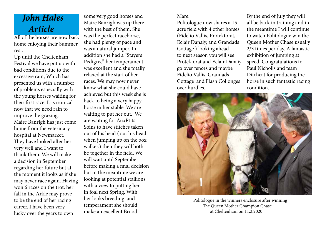# *John Hales Article*

All of the horses are now back home enjoying their Summer rest.

Up until the Cheltenham Festival we have put up with bad conditions due to the excessive rain, Which has presented us with a number of problems especially with the young horses waiting for their first race. It is ironical now that we need rain to improve the grazing. Maire Banrigh has just come home from the veterinary hospital at Newmarket. They have looked after her very well and I want to thank them. We will make a decision in September regarding her future but at the moment it looks as if she may never race again. Having won 6 races on the trot, her fall in the Arkle may prove to be the end of her racing career. I have been very lucky over the years to own

some very good horses and Maire Banrigh was up there with the best of them. She was the perfect racehorse, she had plenty of pace and was a natural jumper. In addition she had a "Stayers Pedigree" her temperament was excellent and she totally relaxed at the start of her races. We may now never know what she could have achieved but this week she is back to being a very happy horse in her stable. We are waiting to put her out. We are waiting for AuxPtits Soins to have stitches taken out of his head ( cut his head when jumping up on the box walker.) then they will both be together in the field. We will wait until September before making a final decision but in the meantime we are looking at potential stallions with a view to putting her in foal next Spring. With her looks breeding and temperament she should make an excellent Brood

#### Mare.

Politologue now shares a 15 acre field with 4 other horses (Fidelio Vallis, Protektorat, Eclair Danaiy, and Grandads Cottage ) looking ahead to next season you will see Protektorat and Eclair Danaiy go over fences and maybe Fidelio Vallis, Grandads Cottage and Flash Collonges over hurdles.

By the end of July they will all be back in training and in the meantime I will continue to watch Politologue win the Queen Mother Chase usually 2/3 times per day. A fantastic exhibition of jumping at speed. Congratulations to Paul Nicholls and team Ditcheat for producing the horse in such fantastic racing condition.



 Politologue in the winners enclosure after winning The Queen Mother Champion Chase at Cheltenham on 11.3.2020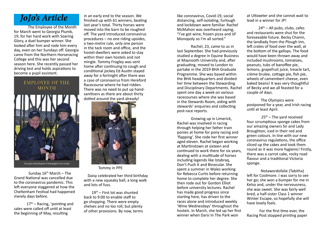## *JoJo's Article*

The Employee of the Month for March went to Georgia Plumb, 19, for her hard work with Soaring Glory, a duel bumper winner. She looked after him and rode him every day, even on her Sundays off. Georgia came from the Northern Horseracing College and this was her second season here. She recently passed her driving test and holds aspirations to become a pupil assistant.

## **EMPLOYEE OF THE MONTH**



Sunday  $16<sup>th</sup>$  March – The Grand National was cancelled due to the coronavirus pandemic. This left everyone staggered at how the Cheltenham Festival had happened merely days before.

17<sup>th</sup> – Racing, 'pointing and sales were called off until at least the beginning of May, resulting

in an early end to the season. We finished up with 61 winners, beating last year's total. Thirty horses were moved into the barn to be roughed off. The yard introduced coronavirus procedures – no one riding upsides, a two-metre rule, only one person in the tack room and office, and the hostel-dwellers were asked to stay within their own hostels and not mingle. Tommy Frogley was sent home after continuing to cough and conditional jockey Ed Austin stayed away for a fortnight after there was a case of coronavirus from Hereford Racecourse where he had ridden. There was no need to put up handsanitisers as there are about thirty dotted around the yard already!



Tommy in PPE

 Daisy celebrated her third birthday with a new squeaky ball, a long walk and lots of fuss.

 19th – First lot was shunted back to 9:00 to enable staff to go shopping. There were empty shelves and no loo roll, but plenty of other provisions. By now, terms like coronavirus, Covid-19, social distancing, self-isolating, furlough and lockdown were familiar. Rachel McMahon was overheard saying, "I've got wine, frozen pizza and IJF Monopoly so I'm all sorted."

Rachel, 23, came to us in last September. She had previously studied a degree in Equine Business at Maynooth University and, after graduating, moved to London to partake in the 2019 BHA Graduate Programme. She was based within the BHA headquarters and divided her time between the Stewarding and Disciplinary Departments. Rachel spent one day a week on various racecourses where she was based in the Stewards Room, aiding with stewards' enquiries and collecting post-race reports.

Growing up in Limerick, Rachel was involved in racing through helping her father train ponies at home for pony racing and 'flapping'. She rode her first winner aged eleven. Rachel began working at Martinstown at sixteen and continued to work there for six years, dealing with a multitude of horses including legends like Istabraq, Don't Push It and Binocular. She spent a summer in Wales working for Rebecca Curtis before returning home to complete her degree. She then rode out for Gordon Elliot before university lectures. Rachel has made good progress since starting here, has driven to the races alone and introduced weekly 'Wine Wednesdays' throughout the hostels. In March, she led up her first winner when Darsi In The Park won

at Uttoxeter and she cannot wait to lead in a winner for JP!

 $24<sup>th</sup>$  – All pubs, clubs, cafes and restaurants were shut for the foreseeable future. Becky Chanin, the landlady from the Plough Inn, left crates of food over the wall, at the bottom of the gallops. The food would have been thrown away and included mushrooms, tomatoes, peanuts, tubs of banoffee pie, lemons, grapefruit juice, treacle tart, crème brulee, cottage pie, fish pie, wheels of camembert cheese, even baked beans! It was very thoughtful of Becky and we all feasted for a couple of days.

The Olympics were postponed for a year, and Irish racing until at least April.

 $25<sup>th</sup>$  – The vard received four scrumptious sponge cakes from our amazing owners Sir and Lady Broughton, iced in their red and green colours. In line with our new coronavirus regulations, the office sliced up the cakes and took them round as it was more hygienic! Firstly, there was a carrot cake, rocky road flavour and a traditional Victoria sponge.

Notawordofalie (Tabitha) left for Coolmore. I was sorry to see her go; she won a bumper for me in Kelso and, under the nervousness, she was sweet. She was fairly well bred, a half-sister Class 1 winner Winter Escape, so hopefully she will have lovely foals.

 For the first time ever, the Racing Post stopped printing paper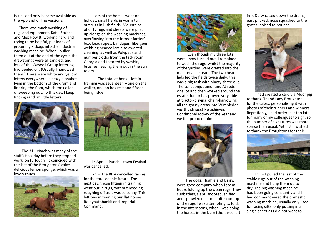issues and only became available as the App and online versions.

 There was much washing of rugs and equipment. Katie Stubbs and Alex Howitt, working hard and trying to be helpful, put loads of grooming kitbags into the industrial washing machine. When I pulled them out at the end of the cycle, the drawstrings were all tangled, and lots of the Wasdell Group lettering had peeled off. (Usually I handwash them.) There were white and yellow letters everywhere; a crazy alphabet lying in the bottom of the drum and littering the floor, which took a lot of sweeping out. To this day, I keep finding random little letters!



The 31<sup>st</sup> March was many of the staff's final day before they stopped work 'on furlough'. It coincided with the last of the Broughtons' cakes, a delicious lemon sponge, which was a lovely touch.



 Lots of the horses went on holiday, small herds in warm turn out rugs in lush fields. Mountains of dirty rugs and sheets were piled up alongside the washing machines, overflowing into the former farrier's box. Lead ropes, bandages, fibergees, webbing headcollars also awaited cleaning; as well as Polypads and number cloths from the tack room. Georgia and I started by washing brushes, leaving them out in the sun to dry.

The total of horses left in training was seventeen – one on the walker, one on box rest and fifteen being ridden.



1<sup>st</sup> April – Punchestown Festival was cancelled.

 $2<sup>nd</sup>$  – The BHA cancelled racing for the foreseeable future. The next day, those fifteen in training went out in rugs, without needing roughing off as it was so sunny. This left two in training our flat horses Itoldyoutobackit and Imperial Command.



 Even though my three lots were now turned out, I remained to wash the rugs, whilst the majority of the yardies were drafted into the maintenance team. The two head lads fed the fields twice daily; this was a big task with ninety-three out. The sons Jonjo Junior and AJ rode one lot and then worked around the estate. Junior has proved very able at tractor-driving, chain-harrowing all the grassy areas into Wimbledonworthy stripes! He achieved Conditional Jockey of the Year and we felt proud of him.



 The dogs, Hughie and Daisy, were good company when I spent hours folding up the clean rugs. They sunbathes, slept, snoozed, sniffed and sprawled near me, often on top of the rugs I was attempting to fold. In the afternoons, when I was doing the horses in the barn (the three left

in!), Daisy ratted down the drains, ears pricked, nose squashed to the grates, poised to pounce.



 I had created a card via Moonpig to thank Sir and Lady Broughton for the cakes, personalising it with photos of their runners and winners. Regrettably, I had ordered it too late for many of my colleagues to sign, so the number of signatures was more sparse than usual. Yet, I still wished to thank the Broughtons for their



l

 $11<sup>th</sup> - 1$  pulled the last of the stable rugs out of the washing machine and hung them up to dry. The big washing machine had been going constantly and I had commandeered the domestic washing machine, usually only used for racing silks, only putting in a single sheet as I did not want to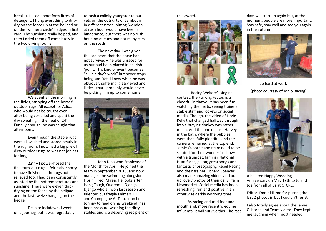break it. I used about forty litres of detergent. I hung everything to dripdry on the fence up at the helipad or on the 'winner's circle' hedges in first yard. The sunshine really helped, and then I dried them off completely in the two drying rooms.



We spent all the morning in the fields, stripping off the horses' outdoor rugs. All except for Adicci, who would not be caught even after being corralled and spent the day sweating in the heat of 24˚. Funnily enough, he was caught that afternoon…

Even though the stable rugs were all washed and stored neatly in the rug room, I now had a big pile of dirty outdoor rugs so was not jobless for long!

 $22^{nd} - I$  power-hosed the final turn-out rugs. I felt rather sorry to have finished all the rugs but relieved too. I had been consistently assisted by the hot temperatures and sunshine. There were eleven dripdrying on the fence by the helipad and the last twelve hanging on the hedge.

Despite lockdown, I went on a journey, but it was regrettably

to rush a colicky youngster to our vets on the outskirts of Lambourn. In different times, hitting Swindon at rush hour would have been a hinderance, but there was no rush hour, no queues and not many cars on the roads.

The next day, I was given the sad news that the horse had not survived – he was unraced for us but had been placed in an Irish 'point. This kind of event becomes "all in a day's work" but never stops being sad. Yet, I knew when he was obviously suffering, glassy eyed and listless that I probably would never be picking him up to come home.



John Dina won Employee of the Month for April. He joined the team in September 2015, and now manages the swimming alongside Florin 'Fred' Mirea. He looks after Hang Tough, Quarenta, Django Django who all won last season and talented but fragile Palmers Hill and Champagne At Tara. John helps Johnny to feed on his weekend, has been pressure-washing the dirty stables and is a deserving recipient of

#### this award.



Racing Welfare's singing contest, the Furlong Factor, is a cheerful initiative. It has been fun watching the heats, seeing trainers, stable staff and jockeys on social media. Though, the video of Lizzie Kelly that changed halfway through into a braying donkey was rather mean. And the one of Luke Harvey in the bath, where the bubbles were thankfully plentiful, and the camera remained at the top end. Jamie Osborne and team need to be saluted for their wonderful shows with a trumpet, familiar National Hunt faces, guitar, great songs and fantastic choreography. Rebel Racing and their trainer Richard Spencer also made amazing videos and put up lovely photos of their daily life in Newmarket. Social media has been refreshing, fun and positive in an otherwise darkly worrying time.

 As racing endured foot and mouth and, more recently, equine influenza, it will survive this. The race

days will start up again but, at the moment, people are more important. Stay safe, stay well and see you again in the autumn.



 Jo hard at work (photo courtesy of Jonjo Racing)



A belated Happy Wedding Anniversary on May 19th to Jo and Joe from all of us at CTCRC.

Editor: Don't kill me for putting the last 2 photos in but I couldn't resist.

I also totally agree about the Jamie Osborne and Team videos. They kept me laughing when most needed.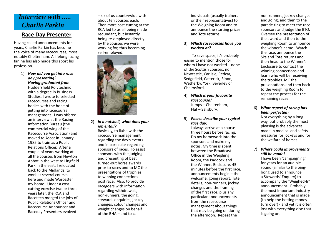## *Interview with ..... Charlie Parkin*

### **Race Day Presenter**

Having called announcements for years, Charlie Parkin has become the voice of many racecourses, most notably Cheltenham. A lifelong racing fan,he has also made this sport his profession.

#### 1) *How did you get into race day presenting? Having graduated from*  Huddersfield Polytechnic with a degree in Business Studies, I wrote to selected racecourses and racing bodies with the hope of getting into racecourse management. I was offered an interview at the Racing Information Bureau (the commercial wing of the Racecourse Association) and moved to Ascot in January 1985 to train as a Public Relations Officer. After a couple of years working at all the courses from Newton Abbot in the west to Lingfield Park in the east, I relocated back to the Midlands, to work at several courses here and made Worcester my home. Under a costcutting exercise two or three years later, the RCA and Racetech merged the jobs of Public Relations Officer and Racecourse Announcer and Raceday Presenters evolved

– six of us countrywide with about ten courses each. Then more cost-cutting at the RCA led to us all being made redundant, but instantly being re-employed directly by the courses we were working for, thus becoming self-employed.



2) *In a nutshell, what does your job entail?* 

Basically, to liaise with the racecourse management regarding the day's events and in particular regarding sponsors of races. To assist sponsors with the judging and presenting of best turned-out horse awards prior to races and to MC the presentations of trophies to winning connections post race. Also, to provide racegoers with information regarding withdrawals, non-runners, the going, stewards enquiries, jockey changes, colour changes and weight changes on behalf of the BHA – and to call

individuals (usually trainers or their representatives) to the Weighing Room and to announce the starting prices and Tote returns.

#### 3) *Which racecourses have you worked at?*

To save space, it's probably easier to mention those for whom I have not worked – none of the Scottish courses, nor Newcastle, Carlisle, Redcar, Sedgefield, Catterick, Ripon, Wetherby, York, Beverley or Chelmsford.

- 4) *Which is your favourite racecourse?*  Jumps – Cheltenham, Flat – Salisbury.
- 5) *Please describe your typical race day:*

I always arrive at a course three hours before racing. Do my homework into the sponsors and make my notes. My time is spent between the Broadcast Office in the Weighing Room, the Paddock and the Winners Enclosure. 45 minutes before the first race, announcements begin – the welcome, going report, Tote details, non-runners, jockey changes and the framing of the first race, plus any particular announcements from the racecourse management about things that may be going on during the afternoon. Repeat the

non-runners, jockey changes and going, and then to the parade ring to meet the race sponsors and judge the BTO. Oversee the presentation of the award and then to the weighing Room to announce the winner's name. Watch the race, announce the SPs and Tote returns and then head to the Winner's Enclosure to contact the winning connections and learn who will be receiving the trophies. MC the presentations and then back to the weighing Room to repeat the process for the remaining races.

#### 6) *What aspect of racing has been perfected?*

Not everything by a long way, but probably the most pleasing is the advances made in medical and safety measures for jockeys and for the welfare of horses.

#### 7) *Where could improvements still be made?*

I have been 'campaigning' for years for an audible sound (similar to the bingbong used to announce a Stewards' Enquiry) to accompany the 'Weighed-In' announcement. Probably the most important industry announcement that is made (to help the betting money turn over) - and yet it is often lost with everything else that is going on.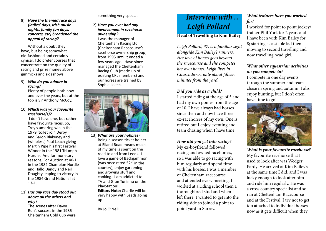8) *Have the themed race days (ladies' days, Irish music nights, family fun days, concerts, etc) broadened the appeal of racing?* 

Without a doubt they have, but being somewhat old-fashioned and certainly cynical, I do prefer courses that concentrate on the quality of racing and prize money above gimmicks and sideshows.

#### 9) *Who do you admire in racing?*

Plenty of people both now and over the years, but at the top is Sir Anthony McCoy.

#### 10) *Which was your favourite racehorse(s)?*

 I don't have one, but rather have favourite races. So, Troy's amazing win in the 1979 'toilet roll' Derby and Baron Blakeney and (whipless) Paul Leach giving Martin Pipe his first Festival Winner in the 1981 Triumph Hurdle. And for monetary reasons, For Auction at 40-1 in the 1982 Champion Hurdle and Hallo Dandy and Neil Doughty leaping to victory in the 1984 Grand National at 13-1.

#### 11) *Has any race day stood out above all the others and why?*

The scenes after Dawn Run's success in the 1986 Cheltenham Gold Cup were something very special.

12) *Have you ever had any involvement in racehorse ownership?*  I was the manager of Cheltenham Racing Ltd (Cheltenham Racecourse's racehorse ownership group) from 1995 until it ended a few years ago. Have since managed the Cheltenham Racing Club (made-up of existing CRL members) and our horses are trained by Sophie Leech.



13) *What are your hobbies?*  Being a season ticket holder at Elland Road means much of my time is spent on the road to and from Leeds. I love a game of Backgammon (was once rated  $52<sup>nd</sup>$  in the country), enjoy gardening and growing stuff and cooking. I am addicted to TV and Gran Turismo on the PlayStation! **Editors Note:** Charlie will be very happy with Leeds going up!

By Jo O'Neill

## *Interview with .. Leigh Pollard* **Head of Travelling to Kim Bailey**

*Leigh Pollard, 37, is a familiar sight alongside Kim Bailey's runners. Her love of horses goes beyond the racecourse and she competes her own horses. Leigh lives in Churchdown, only about fifteen minutes from the yard.* 

#### *Did you ride as a child?*

I started riding at the age of 5 and had my own ponies from the age of 10. I have always had horses since then and now have three ex-racehorses of my own. One is retired but I enjoy eventing and team chasing when I have time!

#### *How did you get into racing?*

My ex-boyfriend followed racing and owned racehorses, so I was able to go racing with him regularly and spend time with his horses. I was a member of Cheltenham racecourse and attended every meeting. I worked at a riding school then a thoroughbred stud and when I left there, I wanted to get into the riding side so joined a point to point yard in Surrey.

#### *What trainers have you worked for?*

I worked for point to point jockey/ trainer Phil York for 2 years and I have been with Kim Bailey for 8; starting as a stable lad then moving to second travelling and now travelling head girl.

#### *What other equestrian activities do you compete in?*

I compete in one day events through the summer and team chase in spring and autumn. I also enjoy hunting, but I don't often have time to go!



*What is your favourite racehorse?* My favourite racehorse that I used to look after was Wedger Pardy. He arrived at Kim Bailey's at the same time I did, and I was lucky enough to look after him and ride him regularly. He was a cross country specialist and so ran at Cheltenham Racecourse and at the Festival. I try not to get too attached to individual horses now as it gets difficult when they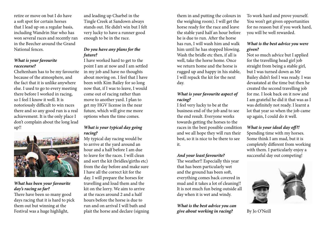retire or move on but I do have a soft spot for certain horses that I lead up on a regular basis, including Wandrin Star who has won several races and recently ran in the Beecher around the Grand National fences.

#### *What is your favourite racecourse?*

Cheltenham has to be my favourite because of the atmosphere, and the fact that it is unlike anywhere else. I used to go to every meeting there before I worked in racing, so I feel I know it well. It is notoriously difficult to win races there and so any good run is a real achievement. It is the only place I don't complain about the long lead up!!



#### *What has been your favourite day's racing so far?*

There have been so many good days racing that it is hard to pick them out but winning at the Festival was a huge highlight,

and leading up Charbel in the Tingle Creek at Sandown always stands out. He didn't win but I felt very lucky to have a runner good enough to be in the race.

#### *Do you have any plans for the future?*

I have worked hard to get to the point I am at now and I am settled in my job and have no thoughts about moving on. I feel that I have been with Kim Bailey for so long now that, if I was to leave, I would come out of racing rather than move to another yard. I plan to get my HGV license in the near future, which will give me more options when the time comes.

#### *What is your typical day going racing?*

My typical day racing would be to arrive at the yard around an hour and a half before I am due to leave for the races. I will clean and sort the kit (bridles/girths etc) from the day before and make sure I have all the correct kit for the day. I will prepare the horses for travelling and load them and the kit on the lorry. We aim to arrive at the races around 2 and a half hours before the horse is due to run and on arrival I will bath and plait the horse and declare (signing them in and putting the colours in the weighing room). I will get the horse ready for the race and leave the stable yard half an hour before he is due to run. After the horse has run, I will wash him and walk him until he has stopped blowing. Wash the bridle etc then, if all is well, take the horse home. Once we return home and the horse is rugged up and happy in his stable, I will repack the kit for the next day.

#### *What is your favourite aspect of racing?*

I feel very lucky to be at the business end of the job and to see the end result. Everyone works towards getting the horses to the races in the best possible condition and we all hope they will run their best, so it is nice to be there to see it.

#### *And your least favourite?*

The weather!! Especially this year that has been particularly wet and the ground has been soft, everything comes back covered in mud and it takes a lot of cleaning!! It is not much fun being outside all day when it is wet and windy.

#### *What is the best advice you can give about working in racing?*

To work hard and prove yourself. You won't get given opportunities for no reason but if you work hard, you will be well rewarded.

#### *What is the best advice you were given?*

Not so much advice but I applied for the travelling head girl job straight from being a stable girl, but I was turned down as Mr Bailey didn't feel I was ready. I was devastated at the time but then he created the second travelling job for me. I look back on it now and I am grateful he did it that was as I was definitely not ready. I learnt a lot that year so when the job came up again, I could do it well.

#### *What is your ideal day off?!*

Spending time with my horses. Some think I am mad, but it is completely different from working with them. I particularly enjoy a successful day out competing!



By Jo O'Neill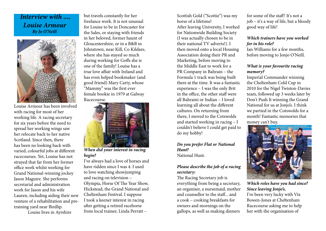## *Interview with .... Louise Armour By Jo O'Neill*



Louise Armour has been involved with racing for most of her working life. A racing secretary for six years before the need to spread her working wings saw her relocate back to her native Scotland. Since then, there has been no looking back with varied, colourful jobs at different racecourses. Yet, Louise has not strayed that far from her former office work whilst working for Grand National-winning jockey Jason Maguire. She performs secretarial and administration work for Jason and his wife Lauren, including aiding their new venture of a rehabilitation and pretraining yard near Birdlip.

Louise lives in Ayrshire

but travels constantly for her freelance work. It is not unusual for Louise to be in Doncaster for the Sales, or staying with friends in her beloved, former haunt of Gloucestershire, or in a B&B in Johnstown, near Kill, Co Kildare, where she has stayed so much during working for Goffs she is one of the family! Louise has a true love affair with Ireland and has even helped bookmaker (and good friend) Mary Carty, whose "Mammy" was the first ever female bookie in 1979 at Galway Racecourse.



*When did your interest in racing begin?*

I've always had a love of horses and have ridden since I was 4. I used to love watching showjumping and racing on television – Olympia, Horse Of The Year Show, Hickstead, the Grand National and Cheltenham Festival. I suppose I took a keener interest in racing after getting a retired racehorse from local trainer, Linda Perratt –

Scottish Gold ("Scottie") was my horse of a lifetime! After leaving University, I worked for Nationwide Building Society (I was actually chosen to be in their national TV adverts!). I then moved onto a local Housing Association doing their PR and Marketing, before moving to the Middle East to work for a PR Company in Bahrain – the Formula 1 track was being built there at the time. It was a fantastic experience – I was the only Brit in the office, the other staff were all Bahraini or Indian – I loved learning all about the different cultures. On returning from there, I moved to the Cotswolds and started working in racing – I couldn't believe I could get paid to do my hobby!

#### *Do you prefer Flat or National Hunt?* National Hunt.

#### *Please describe the job of a racing secretary:*

The Racing Secretary job is everything from being a secretary, an organiser, a nursemaid, mother and counsellor to the staff... and a cook – cooking breakfasts for owners and mornings on the gallops, as well as making dinners

for some of the staff! It's not a job – it's a way of life, but a bloody good way of life!

#### *Which trainers have you worked for in his role?*

Ian Williams for a few months, before moving to Jonjo O'Neill.

#### *What is your favourite racing memory?*

Imperial Commander winning the Cheltenham Cold Cup in 2010 for the Nigel Twiston-Davies team, followed up 3 weeks later by Don't Push It winning the Grand National for us at Jonjo's. I think we partied in the Cotswolds for a month! Fantastic memories that money can't buy.



*Which roles have you had since? Since leaving Jonjo's,*  I've been very lucky with Vix Bowen-Jones at Cheltenham Racecourse asking me to help her with the organisation of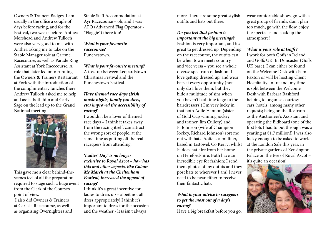Owners & Trainers Badges. I am usually in the office a couple of days before racing, and for the Festival, two weeks before. Anthea Morshead and Andrew Tulloch were also very good to me, with Anthea asking me to take on the Stable Manager role at Cartmel Racecourse, as well as Parade Ring Assistant at York Racecourse. A role that, later led onto running the Owners & Trainers Restaurant at York with the introduction of the complimentary lunches there. Andrew Tulloch asked me to help and assist both him and Carly Sage on the lead up to the Grand National meeting.



This gave me a clear behind-thescenes feel of all the preparation required to stage such a huge event from the Clerk of the Course's point of view.

 I also did Owners & Trainers at Carlisle Racecourse, as well as organising Overnighters and

Stable Staff Accommodation at Ayr Racecourse – oh, and I was AFO (Advanced Flag Operator - "Flaggie") there too!

*What is your favourite racecourse?* Punchestown.

*What is your favourite meeting?* A toss-up between Leopardstown Christmas Festival and the Punchestown Festival.

#### *Have themed race days (Irish music nights, family fun days, etc) improved the accessibility of racing?*

I wouldn't be a lover of themed race days – I think it takes away from the racing itself, can attract the wrong sort of people, at the same time as putting off the real racegoers from attending.

#### *'Ladies' Day' is no longer exclusive to Royal Ascot – how has this and other aspects, like Colour Me March at the Cheltenham Festival, increased the appeal of racing?*

I think it's a great incentive for ladies to dress up – albeit not all dress appropriately! I think it's important to dress for the occasion and the weather - less isn't always

more. There are some great stylish outfits and hats out there.

#### *Do you feel that fashion is important at the big meetings?*

Fashion is very important, and it's great to get dressed up. Depending on the racecourse, the outfits can be when town meets country and vice versa – you see a whole diverse spectrum of fashion. I love getting dressed up, and wear hats at every opportunity (not only do I love them, but they hide a multitude of sins when you haven't had time to go to the hairdressers!) I'm very lucky in that both Aoife Hannon (sister of Gold Cup winning jockey and trainer, Jim Culloty) and Fi Johnson (wife of Champion Jockey, Richard Johnson) sort me out with hats. Aoife is a milliner, based in Listowel, Co Kerry; whilst Fi does hat hire from her home on Herefordshire. Both have an incredible eye for fashion; I send them photos of my outfits and they post hats to wherever I am! I never need to be near either to receive their fantastic hats.

*What is your advice to racegoers to get the most out of a day's racing?*

Have a big breakfast before you go,

wear comfortable shoes, go with a great group of friends, don't plan too much, go with the flow, enjoy the spectacle and soak up the atmosphere!

#### *What is your role at Goffs?*

I work for both Goffs in Ireland and Goffs UK. In Doncaster (Goffs UK base), I can either be found on the Welcome Desk with Pam Paxton or will be hosting Client Hospitality. In Ireland, my time is split between the Welcome Desk with Barbara Bashford, helping to organise courtesy cars, hotels, among many other requests; being on the Rostrum as the Auctioneer's Assistant and operating the Bidboard (one of the first lots I had to put through was a yearling at  $E1.7$  million!) I was also lucky enough to be asked to work at the London Sale this year, in the private gardens of Kensington Palace on the Eve of Royal Ascot – it's quite an occasion!

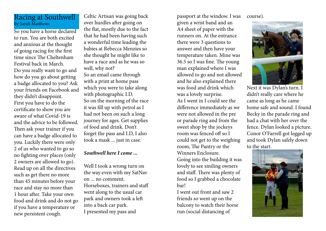### Racing at Southwell By Sarah Matthews

So you have a horse declared to run. You are both excited and anxious at the thought of going racing for the first time since The Cheltenham Festival back in March. Do you really want to go and how do you go about getting a badge allocated to you? Ask your friends on Facebook and they didn't disappoint. First you have to do the certificate to show you are aware of what Covid-19 is and the advice to be followed. Then ask your trainer if you can have a badge allocated to you. Luckily there were only 2 of us who wanted to go so no fighting over places (only 2 owners are allowed to go). Read up on all the directives such as get there no more than 45 minutes before your race and stay no more than 1 hour after. Take your own food and drink and do not go if you have a temperature or new persistent cough.

Celtic Artisan was going back over hurdles after going on the flat, mostly due to the fact that he had been having such a wonderful time leading the babies at Rebecca Menzies so she thought he might like to have a race and as he was so well, why not? So an email came through with a print at home pass which you were to take along with photographic I.D. So on the morning of the race it was fill up with petrol as I had not been on such a long journey for ages. Get supplies of food and drink. Don't forget the pass and I.D, I also took a mask ... just in case.

### *Southwell here I come ...*

Well I took a wrong turn on the way even with my SatNav on ... no comment. Horseboxes, trainers and staff went along to the usual car park and owners took a left into a back car park.

I presented my pass and

passport at the window. I was

given a wrist band and an A4 sheet of paper with the runners on. At the entrance there were 3 questions to answer and then have your temperature taken. Mine was 36.5 so I was fine. The young man explained where I was allowed to go and not allowed and he also explained there was food and drink which was a lovely surprise. As I went in I could see the difference immediately as we were not allowed in the pre or parade ring and from the sweet shop by the jockeys room was fenced off so I could not get to the weighing room, The Pantry or the Winners Enclosure. Going into the building it was lovely to see smiling owners and staff. There was plenty of food so I grabbed a chocolate bar!

I went out front and saw 2 friends so went up on the balcony to watch their horse run (social distancing of

course).



Next it was Dylan's turn. I didn't really care where he came as long as he came home safe and sound. I found Becky in the parade ring and had a chat with her over the fence. Dylan looked a picture. Conor O'Farrell got legged up and took Dylan safely down to the start.

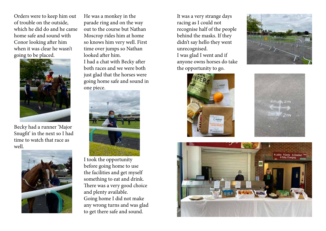Orders were to keep him out of trouble on the outside, which he did do and he came home safe and sound with Conor looking after him when it was clear he wasn't going to be placed.



Becky had a runner 'Major Snugfit' in the next so I had time to watch that race as well.



He was a monkey in the parade ring and on the way out to the course but Nathan Moscrop rides him at home so knows him very well. First time over jumps so Nathan looked after him.

I had a chat with Becky after both races and we were both just glad that the horses were going home safe and sound in one piece.



I took the opportunity before going home to use the facilities and get myself something to eat and drink. There was a very good choice and plenty available. Going home I did not make any wrong turns and was glad to get there safe and sound.

It was a very strange days racing as I could not recognise half of the people behind the masks. If they didn't say hello they went unrecognised. I was glad I went and if anyone owns horses do take the opportunity to go.